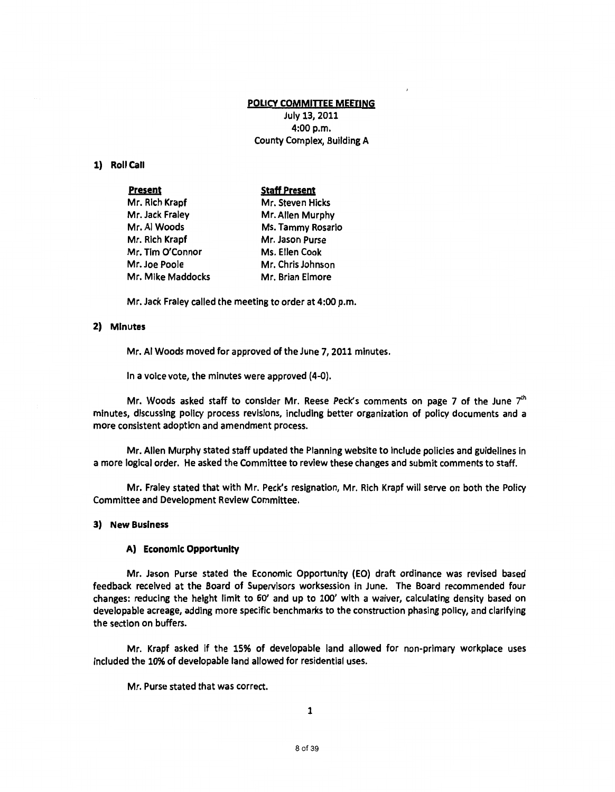## POLICY COMMITTEE MEETING

July 13, 2011 4:00 p.m. County Complex, Building A

# 1) Roll Call

**Present** 

#### Staff present

| Mr. Rich Krapf    | Mr. Steven Hicks  |
|-------------------|-------------------|
| Mr. Jack Fraley   | Mr. Allen Murphy  |
| Mr. Al Woods      | Ms. Tammy Rosario |
| Mr. Rich Krapf    | Mr. Jason Purse   |
| Mr. Tim O'Connor  | Ms. Ellen Cook    |
| Mr. Joe Poole     | Mr. Chris Johnson |
| Mr. Mike Maddocks | Mr. Brian Elmore  |

Mr. Jack Fraley called the meeting to order at 4:00 p.m.

## 2) Minutes

Mr. AI Woods moved for approved of the June 7, 2011 minutes.

In a voice vote, the minutes were approved (4-0).

Mr. Woods asked staff to consider Mr. Reese Peck's comments on page 7 of the June  $7<sup>th</sup>$ minutes, discussing policy process revisions, including better organization of policy documents and a more consistent adoption and amendment process.

Mr. Allen Murphy stated staff updated the Planning website to include policies and guidelines in a more logical order. He asked the Committee to review these changes and submit comments to staff.

Mr. Fraley stated that with Mr. Peck's resignation, Mr. Rich Krapf will serve on both the Policy Committee and Development Review Committee.

## 3) New Business

#### A) Economic Opportunity

Mr. Jason Purse stated the Economic Opportunity (EO) draft ordinance was revised based feedback received at the Board of Supervisors worksession in June. The Board recommended four changes: reducing the height limit to 60' and up to 100' with a waiver, calculating density based on developable acreage, adding more specific benchmarks to the construction phasing policy, and clarifying the section on buffers.

Mr. Krapf asked if the 15% of developable land allowed for non-primary workplace uses included the 10% of developable land allowed for residential uses.

Mr. Purse stated that was correct.

1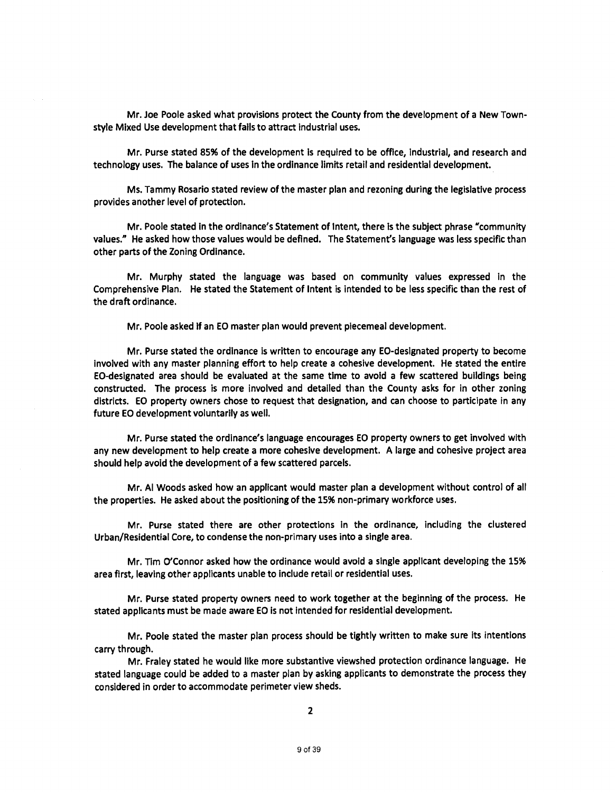Mr. Joe Poole asked what provisions protect the County from the development of a New Townstyle Mixed Use development that fails to attract industrial uses.

Mr. Purse stated 85% of the development Is required to be office, Industrial, and research and technology uses. The balance of uses in the ordinance limits retail and residential development.

Ms. Tammy Rosario stated review of the master plan and rezoning during the legislative process provides another level of protection.

Mr. Poole stated in the ordinance's Statement of Intent, there is the subject phrase "community values." He asked how those values would be defined. The Statement's language was less specific than other parts of the Zoning Ordinance.

Mr. Murphy stated the language was based on community values expressed in the Comprehensive Plan. He stated the Statement of Intent is intended to be less specific than the rest of the draft ordinance.

Mr. Poole asked if an EO master plan would prevent piecemeal development.

Mr. Purse stated the ordinance is written to encourage any EO-designated property to become involved with any master planning effort to help create a cohesive development. He stated the entire EO-designated area should be evaluated at the same time to avoid a few scattered buildings being constructed. The process is more involved and detailed than the County asks for in other zoning districts. EO property owners chose to request that designation, and can choose to participate in any future EO development voluntarily as well.

Mr. Purse stated the ordinance's language encourages EO property owners to get Involved with any new development to help create a more cohesive development. A large and cohesive project area should help avoid the development of a few scattered parcels.

Mr. AI Woods asked how an applicant would master plan a development without control of all the properties. He asked about the positioning of the 15% non-primary workforce uses.

Mr. Purse stated there are other protections in the ordinance, including the clustered Urban/Residential Core, to condense the non-primary uses into a single area.

Mr. Tim O'Connor asked how the ordinance would avoid a single applicant developing the 15% area first, leaving other applicants unable to Include retail or residential uses.

Mr. Purse stated property owners need to work together at the beginning of the process. He stated applicants must be made aware EO is not intended for residential development.

Mr. Poole stated the master plan process should be tightly written to make sure its intentions carry through.

Mr. Fraley stated he would like more substantive viewshed protection ordinance language. He stated language could be added to a master plan by asking applicants to demonstrate the process they considered in order to accommodate perimeter view sheds.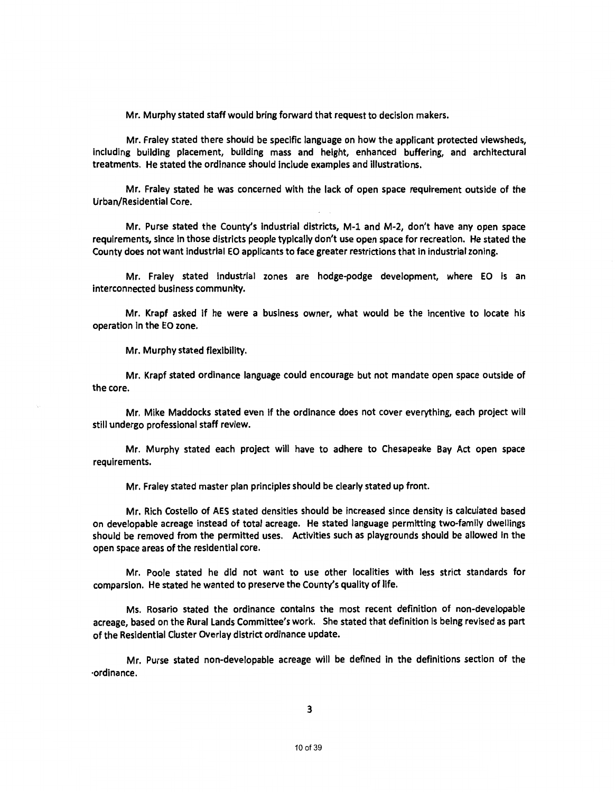Mr. Murphy stated staff would bring forward that request to decision makers.

Mr. Fraley stated there should be specific language on how the applicant protected vlewsheds, Including building placement, building mass and height, enhanced buffering, and architectural treatments. He stated the ordinance should include examples and illustrations.

Mr. Fraley stated he was concerned with the lack of open space requirement outside of the Urban/Residential Core.

Mr. Purse stated the County's industrial districts, M-1 and M-2, don't have any open space requirements, since in those districts people typically don't use open space for recreation. He stated the County does not want industrial EO applicants to face greater restrictions that In industrial zoning.

Mr. Fraley stated Industrial zones are hodge-podge development, where EO is an interconnected business community.

Mr. Krapf asked If he were a business owner, what would be the Incentive to locate his operation In the EO zone.

Mr. Murphy stated flexibility.

Mr. Krapf stated ordinance language could encourage but not mandate open space outside of the core.

Mr. Mike Maddocks stated even If the ordinance does not cover everything, each project will still undergo professional staff review.

Mr. Murphy stated each project will have to adhere to Chesapeake Bay Act open space requirements.

Mr. Fraley stated master plan principles should be clearly stated up front.

Mr. Rich Costello of AES stated densities should be increased since density is calculated based on developable acreage instead of total acreage. He stated language permitting two-family dwellings should be removed from the permitted uses. Activities such as playgrounds should be allowed in the open space areas of the residential core.

Mr. Poole stated he did not want to use other localities with less strict standards for comparsion. He stated he wanted to preserve the County's quality of life.

Ms. Rosario stated the ordinance contains the most recent definition of non-developable acreage, based on the Rural Lands Committee's work. She stated that definition is being revised as part of the Residential Cluster Overlay district ordinance update.

Mr. Purse stated non-developable acreage will be defined in the definitions section of the ·ordinance.

3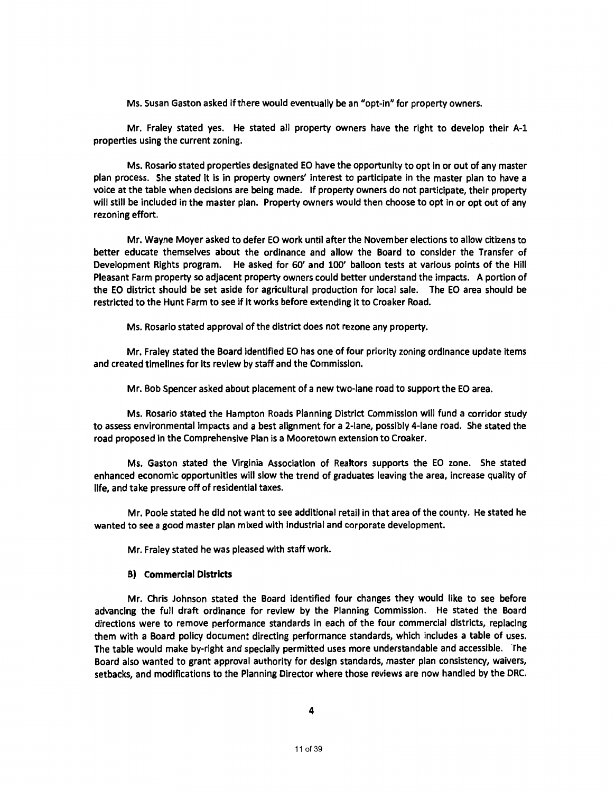Ms. Susan Gaston asked if there would eventually be an "opt-in" for property owners.

Mr. Fraley stated yes. He stated all property owners have the right to develop their A-1 properties using the current zoning.

Ms. Rosario stated properties designated EO have the opportunity to opt in or out of any master plan process. She stated It Is in property owners' interest to participate in the master plan to have a voice at the table when decisions are being made. If property owners do not participate, their property will still be included in the master plan. Property owners would then choose to opt in or opt out of any rezoning effort.

Mr. Wayne Moyer asked to defer EO work until after the November elections to allow citizens to better educate themselves about the ordinance and allow the Board to consider the Transfer of Development Rights program. He asked for 60' and 100' balloon tests at various points of the Hill Pleasant Farm property so adjacent property owners could better understand the impacts. A portion of the EO district should be set aside for agricultural production for local sale. The EO area should be restricted to the Hunt Farm to see if it works before extending it to Croaker Road.

Ms. Rosario stated approval of the district does not rezone any property.

Mr. Fraley stated the Board identified EO has one of four priority zoning ordinance update items and created timellnes for its review by staff and the Commission.

Mr. Bob Spencer asked about placement of a new two-lane road to support the EO area.

Ms. Rosario stated the Hampton Roads Planning District Commission will fund a corridor study to assess environmental Impacts and a best alignment for a 2-lane, possibly 4-lane road. She stated the road proposed in the Comprehensive Plan is a Mooretown extension to Croaker.

Ms. Gaston stated the Virginia Association of Realtors supports the EO zone. She stated enhanced economic opportunities will slow the trend of graduates leaving the area, increase quality of life, and take pressure off of residential taxes.

Mr. Poole stated he did not want to see additional retail in that area of the county. He stated he wanted to see a good master plan mixed with industrial and corporate development.

Mr. Fraley stated he was pleased with staff work.

#### B) Commercial Districts

Mr. Chris Johnson stated the Board identified four changes they would like to see before advancing the full draft ordinance for review by the Planning Commission. He stated the Board directions were to remove performance standards in each of the four commercial districts, replacing them with a Board policy document directing performance standards, which includes a table of uses. The table would make by-right and specially permitted uses more understandable and accessible. The Board also wanted to grant approval authority for design standards, master plan consistency, waivers, setbacks, and modifications to the Planning Director where those reviews are now handled by the DRC.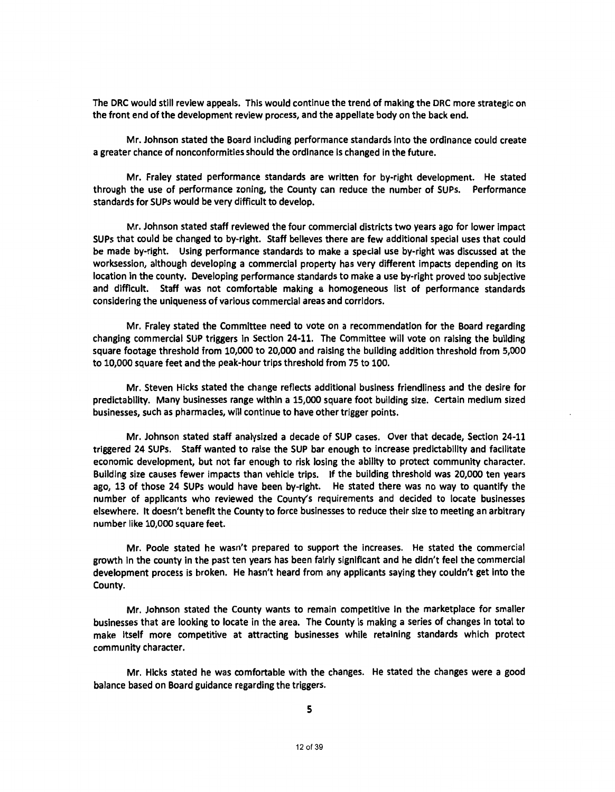The DRC would still review appeals. This would continue the trend of making the DRC more strategic on the front end of the development review process, and the appellate body on the back end.

Mr. Johnson stated the Board including performance standards into the ordinance could create a greater chance of nonconformities should the ordinance Is changed in the future.

Mr. Fraley stated performance standards are written for by-right development. He stated through the use of performance zoning, the County can reduce the number of SUPs. Performance standards for SUPs would be very difficult to develop.

Mr. Johnson stated staff reviewed the four commercial districts two years ago for lower impact SUPs that could be changed to by-right. Staff believes there are few additional special uses that could be made by-right. Using performance standards to make a special use by-right was discussed at the worksession, although developing a commercial property has very different impacts depending on its location in the county. Developing performance standards to make a use by-right proved too subjective and difficult. Staff was not comfortable making a homogeneous list of performance standards considering the uniqueness of various commercial areas and corridors.

Mr. Fraley stated the Committee need to vote on a recommendation for the Board regarding changing commercial SUP triggers in Section 24-11. The Committee will vote on raising the building square footage threshold from 10,000 to 20,000 and raising the building addition threshold from 5,000 to 10,000 square feet and the peak-hour trips threshold from 75 to 100.

Mr. Steven Hicks stated the change reflects additional business friendliness and the desire for predictability. Many businesses range within a 15,000 square foot building size. Certain medium sized businesses, such as pharmacies, will continue to have other trigger points.

Mr. Johnson stated staff analysized a decade of SUP cases. Over that decade, Section 24-11 triggered 24 SUPs. Staff wanted to raise the SUP bar enough to increase predictability and facilitate economic development, but not far enough to risk losing the ability to protect community character. Building size causes fewer impacts than vehicle trips. If the building threshold was 20,000 ten years ago, 13 of those 24 SUPs would have been by-right. He stated there was no way to quantify the number of applicants who reviewed the County's requirements and decided to locate businesses elsewhere. It doesn't benefit the County to force businesses to reduce their size to meeting an arbitrary number like 10,000 square feet.

Mr. Poole stated he wasn't prepared to support the increases. He stated the commercial growth in the county in the past ten years has been fairly significant and he didn't feel the commercial development process is broken. He hasn't heard from any applicants saying they couldn't get into the County.

Mr. Johnson stated the County wants to remain competitive in the marketplace for smaller businesses that are looking to locate in the area. The County is making a series of changes in total to make itself more competitive at attracting businesses while retaining standards which protect community character.

Mr. Hicks stated he was comfortable with the changes. He stated the changes were a good balance based on Board guidance regarding the triggers.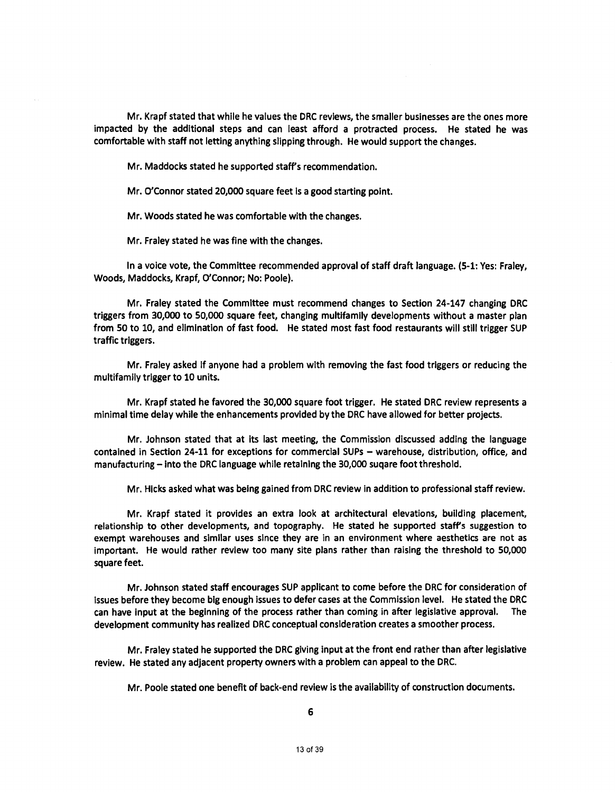Mr. Krapf stated that while he values the DRC reviews, the smaller businesses are the ones more impacted by the additional steps and can least afford a protracted process. He stated he was comfortable with staff not letting anything slipping through. He would support the changes.

Mr. Maddocks stated he supported staff's recommendation.

Mr. O'Connor stated 20,000 square feet is a good starting point.

Mr. Woods stated he was comfortable with the changes.

Mr. Fraley stated he was fine with the changes.

In a voice vote, the Committee recommended approval of staff draft language. (5·1: Yes: Fraley, Woods, Maddocks, Krapf, O'Connor; No: Poole).

Mr. Fraley stated the Committee must recommend changes to Section 24-147 changing DRC triggers from 30,000 to 50,000 square feet, changing multifamily developments without a master plan from 50 to 10, and elimination of fast food. He stated most fast food restaurants will still trigger SUP traffic triggers.

Mr. Fraley asked If anyone had a problem with removing the fast food triggers or reducing the multifamily trigger to 10 units.

Mr. Krapf stated he favored the 30,000 square foot trigger. He stated DRC review represents a minimal time delay while the enhancements provided by the DRC have allowed for better projects.

Mr. Johnson stated that at its last meeting, the Commission discussed adding the language contained in Section 24-11 for exceptions for commercial SUPs - warehouse, distribution, office, and manufacturing - into the DRC language while retaining the 30,000 sugare foot threshold.

Mr. Hicks asked what was being gained from DRC review in addition to professional staff review.

Mr. Krapf stated it provides an extra look at architectural elevations, building placement, relationship to other developments, and topography. He stated he supported staffs suggestion to exempt warehouses and similar uses since they are in an environment where aesthetics are not as important. He would rather review too many site plans rather than raising the threshold to 50,000 square feet.

Mr. Johnson stated staff encourages SUP applicant to come before the DRC for consideration of issues before they become big enough issues to defer cases at the Commission level. He stated the DRC can have input at the beginning of the process rather than coming in after legislative approval. The development community has realized DRC conceptual consideration creates a smoother process.

Mr. Fraley stated he supported the DRC giving input at the front end rather than after legislative review. He stated any adjacent property owners with a problem can appeal to the DRC.

Mr. Poole stated one benefit of back-end review is the availability of construction documents.